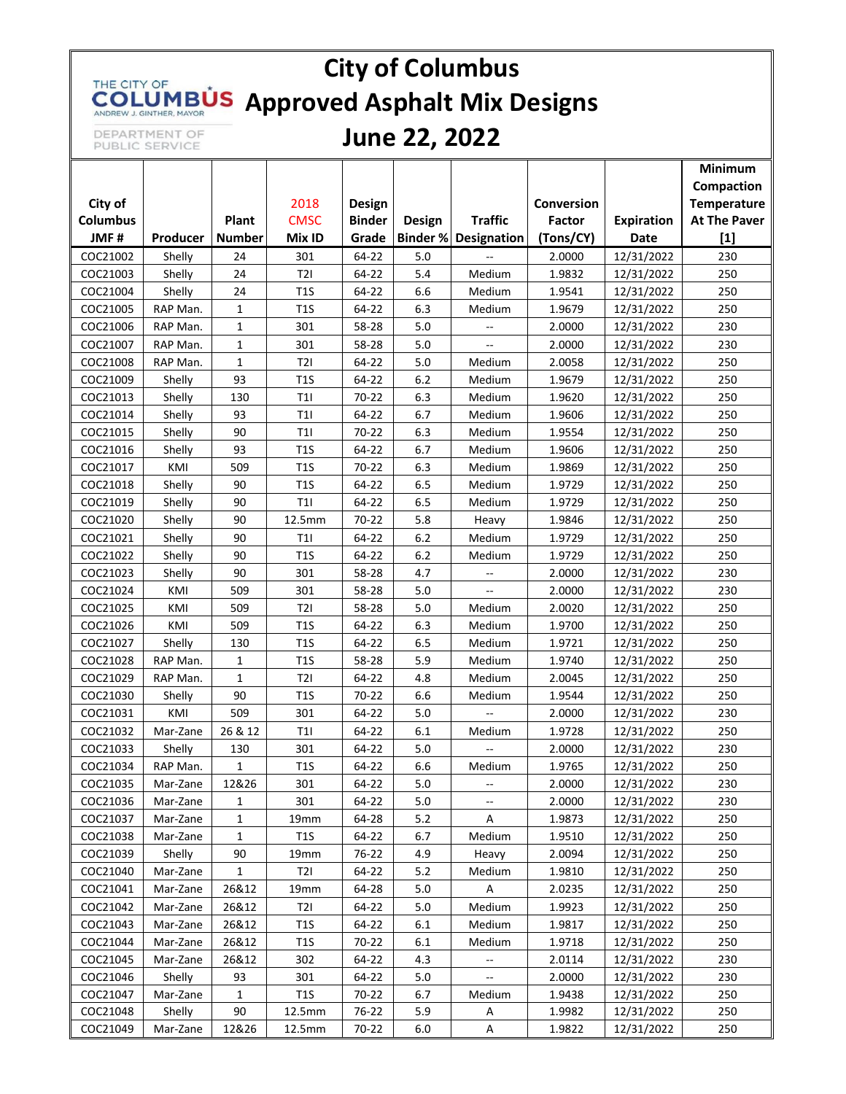# **City of Columbus** THE CITY OF **COLUMBUS** Approved Asphalt Mix Designs

DEPARTMENT OF<br>PUBLIC SERVICE

### **June 22, 2022**

| City of<br>2018<br>Conversion<br>Temperature<br>Design<br><b>Columbus</b><br>Plant<br><b>CMSC</b><br><b>Traffic</b><br><b>At The Paver</b><br><b>Binder</b><br>Factor<br><b>Expiration</b><br><b>Design</b><br>JMF#<br>(Tons/CY)<br>$[1]$<br><b>Number</b><br>Mix ID<br>Grade<br><b>Binder % Designation</b><br>Producer<br>Date<br>COC21002<br>64-22<br>230<br>24<br>301<br>5.0<br>2.0000<br>12/31/2022<br>Shelly<br>24<br>T2I<br>5.4<br>COC21003<br>Shelly<br>64-22<br>Medium<br>1.9832<br>12/31/2022<br>250<br>Shelly<br>24<br>T1S<br>64-22<br>6.6<br>250<br>COC21004<br>Medium<br>1.9541<br>12/31/2022<br>COC21005<br>RAP Man.<br>$\mathbf{1}$<br>T1S<br>64-22<br>6.3<br>250<br>Medium<br>1.9679<br>12/31/2022<br>$\mathbf{1}$<br>230<br>COC21006<br>301<br>58-28<br>5.0<br>2.0000<br>RAP Man.<br>12/31/2022<br>$-$<br>COC21007<br>301<br>58-28<br>2.0000<br>230<br>RAP Man.<br>$\mathbf{1}$<br>5.0<br>12/31/2022<br>$\overline{a}$<br>T2I<br>5.0<br>250<br>COC21008<br>RAP Man.<br>$\mathbf{1}$<br>64-22<br>Medium<br>2.0058<br>12/31/2022<br>COC21009<br>93<br>T1S<br>64-22<br>6.2<br>250<br>Shelly<br>Medium<br>1.9679<br>12/31/2022<br>COC21013<br>130<br>T11<br>70-22<br>6.3<br>1.9620<br>12/31/2022<br>250<br>Shelly<br>Medium<br>COC21014<br>Shelly<br>93<br>T1<br>64-22<br>6.7<br>1.9606<br>250<br>Medium<br>12/31/2022<br>90<br>T11<br>70-22<br>6.3<br>250<br>COC21015<br>Shelly<br>Medium<br>1.9554<br>12/31/2022<br>COC21016<br>93<br>T1S<br>64-22<br>6.7<br>250<br>Shelly<br>Medium<br>1.9606<br>12/31/2022<br>70-22<br>250<br>COC21017<br>KMI<br>509<br>T1S<br>6.3<br>1.9869<br>12/31/2022<br>Medium<br>250<br>COC21018<br>Shelly<br>90<br>T1S<br>64-22<br>6.5<br>12/31/2022<br>Medium<br>1.9729<br>T11<br>64-22<br>250<br>COC21019<br>Shelly<br>90<br>6.5<br>Medium<br>1.9729<br>12/31/2022<br>COC21020<br>12.5mm<br>70-22<br>5.8<br>250<br>Shelly<br>90<br>1.9846<br>12/31/2022<br>Heavy<br>COC21021<br>90<br>T11<br>64-22<br>6.2<br>1.9729<br>12/31/2022<br>250<br>Shelly<br>Medium<br>T1S<br>COC21022<br>Shelly<br>90<br>64-22<br>6.2<br>Medium<br>1.9729<br>250<br>12/31/2022<br>90<br>COC21023<br>Shelly<br>301<br>58-28<br>4.7<br>2.0000<br>12/31/2022<br>230<br>$\overline{a}$<br>509<br>301<br>5.0<br>230<br>COC21024<br>KMI<br>58-28<br>2.0000<br>12/31/2022<br>$\overline{\phantom{a}}$<br>COC21025<br>KMI<br>509<br>T2I<br>58-28<br>5.0<br>250<br>Medium<br>2.0020<br>12/31/2022<br>6.3<br>250<br>COC21026<br>KMI<br>509<br>T1S<br>64-22<br>Medium<br>1.9700<br>12/31/2022<br>COC21027<br>T1S<br>64-22<br>6.5<br>250<br>Shelly<br>130<br>Medium<br>1.9721<br>12/31/2022<br>COC21028<br>T1S<br>5.9<br>250<br>RAP Man.<br>$\mathbf{1}$<br>58-28<br>Medium<br>1.9740<br>12/31/2022<br>COC21029<br>RAP Man.<br>$\mathbf{1}$<br>T2I<br>64-22<br>4.8<br>Medium<br>2.0045<br>250<br>12/31/2022<br>T1S<br>COC21030<br>90<br>70-22<br>6.6<br>1.9544<br>12/31/2022<br>250<br>Shelly<br>Medium<br>COC21031<br>KMI<br>509<br>301<br>64-22<br>5.0<br>2.0000<br>230<br>12/31/2022<br>26 & 12<br>COC21032<br>T11<br>64-22<br>6.1<br>1.9728<br>12/31/2022<br>250<br>Mar-Zane<br>Medium<br>COC21033<br>130<br>301<br>64-22<br>5.0<br>2.0000<br>12/31/2022<br>230<br>Shelly<br>RAP Man.<br>$\mathbf{1}$<br>T1S<br>64-22<br>6.6<br>Medium<br>250<br>COC21034<br>1.9765<br>12/31/2022<br>12&26<br>64-22<br>5.0<br>12/31/2022<br>230<br>COC21035<br>301<br>Mar-Zane<br>2.0000<br>$\overline{\phantom{a}}$<br>COC21036<br>301<br>64-22<br>5.0<br>2.0000<br>12/31/2022<br>Mar-Zane<br>1<br>230<br>--<br>COC21037<br>Mar-Zane<br>64-28<br>5.2<br>1.9873<br>12/31/2022<br>250<br>1<br>19mm<br>A<br>COC21038<br><b>T1S</b><br>6.7<br>Mar-Zane<br>$\mathbf{1}$<br>64-22<br>Medium<br>1.9510<br>12/31/2022<br>250<br>COC21039<br>Shelly<br>90<br>76-22<br>4.9<br>2.0094<br>12/31/2022<br>250<br>19mm<br>Heavy<br>$\mathbf{1}$<br>T2I<br>5.2<br>250<br>COC21040<br>Mar-Zane<br>64-22<br>1.9810<br>12/31/2022<br>Medium<br>COC21041<br>26&12<br>19mm<br>64-28<br>5.0<br>2.0235<br>12/31/2022<br>250<br>Mar-Zane<br>Α<br>COC21042<br>26&12<br>T2I<br>64-22<br>Medium<br>12/31/2022<br>250<br>Mar-Zane<br>5.0<br>1.9923<br>COC21043<br>26&12<br>T1S<br>Mar-Zane<br>64-22<br>6.1<br>Medium<br>1.9817<br>12/31/2022<br>250<br>COC21044<br>26&12<br>T1S<br>Mar-Zane<br>70-22<br>6.1<br>Medium<br>1.9718<br>12/31/2022<br>250<br>COC21045<br>Mar-Zane<br>26&12<br>302<br>64-22<br>4.3<br>2.0114<br>12/31/2022<br>230<br>$\overline{\phantom{a}}$<br>COC21046<br>64-22<br>Shelly<br>93<br>301<br>5.0<br>$\overline{\phantom{a}}$<br>2.0000<br>12/31/2022<br>230<br>T1S<br>COC21047<br>Mar-Zane<br>70-22<br>6.7<br>1.9438<br>12/31/2022<br>250<br>1<br>Medium<br>COC21048<br>90<br>1.9982<br>12/31/2022<br>Shelly<br>12.5mm<br>76-22<br>5.9<br>250<br>Α<br>COC21049<br>12&26<br>12.5mm<br>70-22<br>6.0<br>1.9822<br>12/31/2022<br>250<br>Mar-Zane<br>Α |  |  |  |  | Minimum<br>Compaction |
|-----------------------------------------------------------------------------------------------------------------------------------------------------------------------------------------------------------------------------------------------------------------------------------------------------------------------------------------------------------------------------------------------------------------------------------------------------------------------------------------------------------------------------------------------------------------------------------------------------------------------------------------------------------------------------------------------------------------------------------------------------------------------------------------------------------------------------------------------------------------------------------------------------------------------------------------------------------------------------------------------------------------------------------------------------------------------------------------------------------------------------------------------------------------------------------------------------------------------------------------------------------------------------------------------------------------------------------------------------------------------------------------------------------------------------------------------------------------------------------------------------------------------------------------------------------------------------------------------------------------------------------------------------------------------------------------------------------------------------------------------------------------------------------------------------------------------------------------------------------------------------------------------------------------------------------------------------------------------------------------------------------------------------------------------------------------------------------------------------------------------------------------------------------------------------------------------------------------------------------------------------------------------------------------------------------------------------------------------------------------------------------------------------------------------------------------------------------------------------------------------------------------------------------------------------------------------------------------------------------------------------------------------------------------------------------------------------------------------------------------------------------------------------------------------------------------------------------------------------------------------------------------------------------------------------------------------------------------------------------------------------------------------------------------------------------------------------------------------------------------------------------------------------------------------------------------------------------------------------------------------------------------------------------------------------------------------------------------------------------------------------------------------------------------------------------------------------------------------------------------------------------------------------------------------------------------------------------------------------------------------------------------------------------------------------------------------------------------------------------------------------------------------------------------------------------------------------------------------------------------------------------------------------------------------------------------------------------------------------------------------------------------------------------------------------------------------------------------------------------------------------------------------------------------------------------------------------------------------------------------------------------------------------------------------------------------------------------------------------------------------------------------------------------------------------------------------------------------------------------------------------------------------------------------------------------------------------------------------------------------------------------------------------------------------------------------------------------------------------------------------------------------------------------------------------------------------------------------------|--|--|--|--|-----------------------|
|                                                                                                                                                                                                                                                                                                                                                                                                                                                                                                                                                                                                                                                                                                                                                                                                                                                                                                                                                                                                                                                                                                                                                                                                                                                                                                                                                                                                                                                                                                                                                                                                                                                                                                                                                                                                                                                                                                                                                                                                                                                                                                                                                                                                                                                                                                                                                                                                                                                                                                                                                                                                                                                                                                                                                                                                                                                                                                                                                                                                                                                                                                                                                                                                                                                                                                                                                                                                                                                                                                                                                                                                                                                                                                                                                                                                                                                                                                                                                                                                                                                                                                                                                                                                                                                                                                                                                                                                                                                                                                                                                                                                                                                                                                                                                                                                                                               |  |  |  |  |                       |
|                                                                                                                                                                                                                                                                                                                                                                                                                                                                                                                                                                                                                                                                                                                                                                                                                                                                                                                                                                                                                                                                                                                                                                                                                                                                                                                                                                                                                                                                                                                                                                                                                                                                                                                                                                                                                                                                                                                                                                                                                                                                                                                                                                                                                                                                                                                                                                                                                                                                                                                                                                                                                                                                                                                                                                                                                                                                                                                                                                                                                                                                                                                                                                                                                                                                                                                                                                                                                                                                                                                                                                                                                                                                                                                                                                                                                                                                                                                                                                                                                                                                                                                                                                                                                                                                                                                                                                                                                                                                                                                                                                                                                                                                                                                                                                                                                                               |  |  |  |  |                       |
|                                                                                                                                                                                                                                                                                                                                                                                                                                                                                                                                                                                                                                                                                                                                                                                                                                                                                                                                                                                                                                                                                                                                                                                                                                                                                                                                                                                                                                                                                                                                                                                                                                                                                                                                                                                                                                                                                                                                                                                                                                                                                                                                                                                                                                                                                                                                                                                                                                                                                                                                                                                                                                                                                                                                                                                                                                                                                                                                                                                                                                                                                                                                                                                                                                                                                                                                                                                                                                                                                                                                                                                                                                                                                                                                                                                                                                                                                                                                                                                                                                                                                                                                                                                                                                                                                                                                                                                                                                                                                                                                                                                                                                                                                                                                                                                                                                               |  |  |  |  |                       |
|                                                                                                                                                                                                                                                                                                                                                                                                                                                                                                                                                                                                                                                                                                                                                                                                                                                                                                                                                                                                                                                                                                                                                                                                                                                                                                                                                                                                                                                                                                                                                                                                                                                                                                                                                                                                                                                                                                                                                                                                                                                                                                                                                                                                                                                                                                                                                                                                                                                                                                                                                                                                                                                                                                                                                                                                                                                                                                                                                                                                                                                                                                                                                                                                                                                                                                                                                                                                                                                                                                                                                                                                                                                                                                                                                                                                                                                                                                                                                                                                                                                                                                                                                                                                                                                                                                                                                                                                                                                                                                                                                                                                                                                                                                                                                                                                                                               |  |  |  |  |                       |
|                                                                                                                                                                                                                                                                                                                                                                                                                                                                                                                                                                                                                                                                                                                                                                                                                                                                                                                                                                                                                                                                                                                                                                                                                                                                                                                                                                                                                                                                                                                                                                                                                                                                                                                                                                                                                                                                                                                                                                                                                                                                                                                                                                                                                                                                                                                                                                                                                                                                                                                                                                                                                                                                                                                                                                                                                                                                                                                                                                                                                                                                                                                                                                                                                                                                                                                                                                                                                                                                                                                                                                                                                                                                                                                                                                                                                                                                                                                                                                                                                                                                                                                                                                                                                                                                                                                                                                                                                                                                                                                                                                                                                                                                                                                                                                                                                                               |  |  |  |  |                       |
|                                                                                                                                                                                                                                                                                                                                                                                                                                                                                                                                                                                                                                                                                                                                                                                                                                                                                                                                                                                                                                                                                                                                                                                                                                                                                                                                                                                                                                                                                                                                                                                                                                                                                                                                                                                                                                                                                                                                                                                                                                                                                                                                                                                                                                                                                                                                                                                                                                                                                                                                                                                                                                                                                                                                                                                                                                                                                                                                                                                                                                                                                                                                                                                                                                                                                                                                                                                                                                                                                                                                                                                                                                                                                                                                                                                                                                                                                                                                                                                                                                                                                                                                                                                                                                                                                                                                                                                                                                                                                                                                                                                                                                                                                                                                                                                                                                               |  |  |  |  |                       |
|                                                                                                                                                                                                                                                                                                                                                                                                                                                                                                                                                                                                                                                                                                                                                                                                                                                                                                                                                                                                                                                                                                                                                                                                                                                                                                                                                                                                                                                                                                                                                                                                                                                                                                                                                                                                                                                                                                                                                                                                                                                                                                                                                                                                                                                                                                                                                                                                                                                                                                                                                                                                                                                                                                                                                                                                                                                                                                                                                                                                                                                                                                                                                                                                                                                                                                                                                                                                                                                                                                                                                                                                                                                                                                                                                                                                                                                                                                                                                                                                                                                                                                                                                                                                                                                                                                                                                                                                                                                                                                                                                                                                                                                                                                                                                                                                                                               |  |  |  |  |                       |
|                                                                                                                                                                                                                                                                                                                                                                                                                                                                                                                                                                                                                                                                                                                                                                                                                                                                                                                                                                                                                                                                                                                                                                                                                                                                                                                                                                                                                                                                                                                                                                                                                                                                                                                                                                                                                                                                                                                                                                                                                                                                                                                                                                                                                                                                                                                                                                                                                                                                                                                                                                                                                                                                                                                                                                                                                                                                                                                                                                                                                                                                                                                                                                                                                                                                                                                                                                                                                                                                                                                                                                                                                                                                                                                                                                                                                                                                                                                                                                                                                                                                                                                                                                                                                                                                                                                                                                                                                                                                                                                                                                                                                                                                                                                                                                                                                                               |  |  |  |  |                       |
|                                                                                                                                                                                                                                                                                                                                                                                                                                                                                                                                                                                                                                                                                                                                                                                                                                                                                                                                                                                                                                                                                                                                                                                                                                                                                                                                                                                                                                                                                                                                                                                                                                                                                                                                                                                                                                                                                                                                                                                                                                                                                                                                                                                                                                                                                                                                                                                                                                                                                                                                                                                                                                                                                                                                                                                                                                                                                                                                                                                                                                                                                                                                                                                                                                                                                                                                                                                                                                                                                                                                                                                                                                                                                                                                                                                                                                                                                                                                                                                                                                                                                                                                                                                                                                                                                                                                                                                                                                                                                                                                                                                                                                                                                                                                                                                                                                               |  |  |  |  |                       |
|                                                                                                                                                                                                                                                                                                                                                                                                                                                                                                                                                                                                                                                                                                                                                                                                                                                                                                                                                                                                                                                                                                                                                                                                                                                                                                                                                                                                                                                                                                                                                                                                                                                                                                                                                                                                                                                                                                                                                                                                                                                                                                                                                                                                                                                                                                                                                                                                                                                                                                                                                                                                                                                                                                                                                                                                                                                                                                                                                                                                                                                                                                                                                                                                                                                                                                                                                                                                                                                                                                                                                                                                                                                                                                                                                                                                                                                                                                                                                                                                                                                                                                                                                                                                                                                                                                                                                                                                                                                                                                                                                                                                                                                                                                                                                                                                                                               |  |  |  |  |                       |
|                                                                                                                                                                                                                                                                                                                                                                                                                                                                                                                                                                                                                                                                                                                                                                                                                                                                                                                                                                                                                                                                                                                                                                                                                                                                                                                                                                                                                                                                                                                                                                                                                                                                                                                                                                                                                                                                                                                                                                                                                                                                                                                                                                                                                                                                                                                                                                                                                                                                                                                                                                                                                                                                                                                                                                                                                                                                                                                                                                                                                                                                                                                                                                                                                                                                                                                                                                                                                                                                                                                                                                                                                                                                                                                                                                                                                                                                                                                                                                                                                                                                                                                                                                                                                                                                                                                                                                                                                                                                                                                                                                                                                                                                                                                                                                                                                                               |  |  |  |  |                       |
|                                                                                                                                                                                                                                                                                                                                                                                                                                                                                                                                                                                                                                                                                                                                                                                                                                                                                                                                                                                                                                                                                                                                                                                                                                                                                                                                                                                                                                                                                                                                                                                                                                                                                                                                                                                                                                                                                                                                                                                                                                                                                                                                                                                                                                                                                                                                                                                                                                                                                                                                                                                                                                                                                                                                                                                                                                                                                                                                                                                                                                                                                                                                                                                                                                                                                                                                                                                                                                                                                                                                                                                                                                                                                                                                                                                                                                                                                                                                                                                                                                                                                                                                                                                                                                                                                                                                                                                                                                                                                                                                                                                                                                                                                                                                                                                                                                               |  |  |  |  |                       |
|                                                                                                                                                                                                                                                                                                                                                                                                                                                                                                                                                                                                                                                                                                                                                                                                                                                                                                                                                                                                                                                                                                                                                                                                                                                                                                                                                                                                                                                                                                                                                                                                                                                                                                                                                                                                                                                                                                                                                                                                                                                                                                                                                                                                                                                                                                                                                                                                                                                                                                                                                                                                                                                                                                                                                                                                                                                                                                                                                                                                                                                                                                                                                                                                                                                                                                                                                                                                                                                                                                                                                                                                                                                                                                                                                                                                                                                                                                                                                                                                                                                                                                                                                                                                                                                                                                                                                                                                                                                                                                                                                                                                                                                                                                                                                                                                                                               |  |  |  |  |                       |
|                                                                                                                                                                                                                                                                                                                                                                                                                                                                                                                                                                                                                                                                                                                                                                                                                                                                                                                                                                                                                                                                                                                                                                                                                                                                                                                                                                                                                                                                                                                                                                                                                                                                                                                                                                                                                                                                                                                                                                                                                                                                                                                                                                                                                                                                                                                                                                                                                                                                                                                                                                                                                                                                                                                                                                                                                                                                                                                                                                                                                                                                                                                                                                                                                                                                                                                                                                                                                                                                                                                                                                                                                                                                                                                                                                                                                                                                                                                                                                                                                                                                                                                                                                                                                                                                                                                                                                                                                                                                                                                                                                                                                                                                                                                                                                                                                                               |  |  |  |  |                       |
|                                                                                                                                                                                                                                                                                                                                                                                                                                                                                                                                                                                                                                                                                                                                                                                                                                                                                                                                                                                                                                                                                                                                                                                                                                                                                                                                                                                                                                                                                                                                                                                                                                                                                                                                                                                                                                                                                                                                                                                                                                                                                                                                                                                                                                                                                                                                                                                                                                                                                                                                                                                                                                                                                                                                                                                                                                                                                                                                                                                                                                                                                                                                                                                                                                                                                                                                                                                                                                                                                                                                                                                                                                                                                                                                                                                                                                                                                                                                                                                                                                                                                                                                                                                                                                                                                                                                                                                                                                                                                                                                                                                                                                                                                                                                                                                                                                               |  |  |  |  |                       |
|                                                                                                                                                                                                                                                                                                                                                                                                                                                                                                                                                                                                                                                                                                                                                                                                                                                                                                                                                                                                                                                                                                                                                                                                                                                                                                                                                                                                                                                                                                                                                                                                                                                                                                                                                                                                                                                                                                                                                                                                                                                                                                                                                                                                                                                                                                                                                                                                                                                                                                                                                                                                                                                                                                                                                                                                                                                                                                                                                                                                                                                                                                                                                                                                                                                                                                                                                                                                                                                                                                                                                                                                                                                                                                                                                                                                                                                                                                                                                                                                                                                                                                                                                                                                                                                                                                                                                                                                                                                                                                                                                                                                                                                                                                                                                                                                                                               |  |  |  |  |                       |
|                                                                                                                                                                                                                                                                                                                                                                                                                                                                                                                                                                                                                                                                                                                                                                                                                                                                                                                                                                                                                                                                                                                                                                                                                                                                                                                                                                                                                                                                                                                                                                                                                                                                                                                                                                                                                                                                                                                                                                                                                                                                                                                                                                                                                                                                                                                                                                                                                                                                                                                                                                                                                                                                                                                                                                                                                                                                                                                                                                                                                                                                                                                                                                                                                                                                                                                                                                                                                                                                                                                                                                                                                                                                                                                                                                                                                                                                                                                                                                                                                                                                                                                                                                                                                                                                                                                                                                                                                                                                                                                                                                                                                                                                                                                                                                                                                                               |  |  |  |  |                       |
|                                                                                                                                                                                                                                                                                                                                                                                                                                                                                                                                                                                                                                                                                                                                                                                                                                                                                                                                                                                                                                                                                                                                                                                                                                                                                                                                                                                                                                                                                                                                                                                                                                                                                                                                                                                                                                                                                                                                                                                                                                                                                                                                                                                                                                                                                                                                                                                                                                                                                                                                                                                                                                                                                                                                                                                                                                                                                                                                                                                                                                                                                                                                                                                                                                                                                                                                                                                                                                                                                                                                                                                                                                                                                                                                                                                                                                                                                                                                                                                                                                                                                                                                                                                                                                                                                                                                                                                                                                                                                                                                                                                                                                                                                                                                                                                                                                               |  |  |  |  |                       |
|                                                                                                                                                                                                                                                                                                                                                                                                                                                                                                                                                                                                                                                                                                                                                                                                                                                                                                                                                                                                                                                                                                                                                                                                                                                                                                                                                                                                                                                                                                                                                                                                                                                                                                                                                                                                                                                                                                                                                                                                                                                                                                                                                                                                                                                                                                                                                                                                                                                                                                                                                                                                                                                                                                                                                                                                                                                                                                                                                                                                                                                                                                                                                                                                                                                                                                                                                                                                                                                                                                                                                                                                                                                                                                                                                                                                                                                                                                                                                                                                                                                                                                                                                                                                                                                                                                                                                                                                                                                                                                                                                                                                                                                                                                                                                                                                                                               |  |  |  |  |                       |
|                                                                                                                                                                                                                                                                                                                                                                                                                                                                                                                                                                                                                                                                                                                                                                                                                                                                                                                                                                                                                                                                                                                                                                                                                                                                                                                                                                                                                                                                                                                                                                                                                                                                                                                                                                                                                                                                                                                                                                                                                                                                                                                                                                                                                                                                                                                                                                                                                                                                                                                                                                                                                                                                                                                                                                                                                                                                                                                                                                                                                                                                                                                                                                                                                                                                                                                                                                                                                                                                                                                                                                                                                                                                                                                                                                                                                                                                                                                                                                                                                                                                                                                                                                                                                                                                                                                                                                                                                                                                                                                                                                                                                                                                                                                                                                                                                                               |  |  |  |  |                       |
|                                                                                                                                                                                                                                                                                                                                                                                                                                                                                                                                                                                                                                                                                                                                                                                                                                                                                                                                                                                                                                                                                                                                                                                                                                                                                                                                                                                                                                                                                                                                                                                                                                                                                                                                                                                                                                                                                                                                                                                                                                                                                                                                                                                                                                                                                                                                                                                                                                                                                                                                                                                                                                                                                                                                                                                                                                                                                                                                                                                                                                                                                                                                                                                                                                                                                                                                                                                                                                                                                                                                                                                                                                                                                                                                                                                                                                                                                                                                                                                                                                                                                                                                                                                                                                                                                                                                                                                                                                                                                                                                                                                                                                                                                                                                                                                                                                               |  |  |  |  |                       |
|                                                                                                                                                                                                                                                                                                                                                                                                                                                                                                                                                                                                                                                                                                                                                                                                                                                                                                                                                                                                                                                                                                                                                                                                                                                                                                                                                                                                                                                                                                                                                                                                                                                                                                                                                                                                                                                                                                                                                                                                                                                                                                                                                                                                                                                                                                                                                                                                                                                                                                                                                                                                                                                                                                                                                                                                                                                                                                                                                                                                                                                                                                                                                                                                                                                                                                                                                                                                                                                                                                                                                                                                                                                                                                                                                                                                                                                                                                                                                                                                                                                                                                                                                                                                                                                                                                                                                                                                                                                                                                                                                                                                                                                                                                                                                                                                                                               |  |  |  |  |                       |
|                                                                                                                                                                                                                                                                                                                                                                                                                                                                                                                                                                                                                                                                                                                                                                                                                                                                                                                                                                                                                                                                                                                                                                                                                                                                                                                                                                                                                                                                                                                                                                                                                                                                                                                                                                                                                                                                                                                                                                                                                                                                                                                                                                                                                                                                                                                                                                                                                                                                                                                                                                                                                                                                                                                                                                                                                                                                                                                                                                                                                                                                                                                                                                                                                                                                                                                                                                                                                                                                                                                                                                                                                                                                                                                                                                                                                                                                                                                                                                                                                                                                                                                                                                                                                                                                                                                                                                                                                                                                                                                                                                                                                                                                                                                                                                                                                                               |  |  |  |  |                       |
|                                                                                                                                                                                                                                                                                                                                                                                                                                                                                                                                                                                                                                                                                                                                                                                                                                                                                                                                                                                                                                                                                                                                                                                                                                                                                                                                                                                                                                                                                                                                                                                                                                                                                                                                                                                                                                                                                                                                                                                                                                                                                                                                                                                                                                                                                                                                                                                                                                                                                                                                                                                                                                                                                                                                                                                                                                                                                                                                                                                                                                                                                                                                                                                                                                                                                                                                                                                                                                                                                                                                                                                                                                                                                                                                                                                                                                                                                                                                                                                                                                                                                                                                                                                                                                                                                                                                                                                                                                                                                                                                                                                                                                                                                                                                                                                                                                               |  |  |  |  |                       |
|                                                                                                                                                                                                                                                                                                                                                                                                                                                                                                                                                                                                                                                                                                                                                                                                                                                                                                                                                                                                                                                                                                                                                                                                                                                                                                                                                                                                                                                                                                                                                                                                                                                                                                                                                                                                                                                                                                                                                                                                                                                                                                                                                                                                                                                                                                                                                                                                                                                                                                                                                                                                                                                                                                                                                                                                                                                                                                                                                                                                                                                                                                                                                                                                                                                                                                                                                                                                                                                                                                                                                                                                                                                                                                                                                                                                                                                                                                                                                                                                                                                                                                                                                                                                                                                                                                                                                                                                                                                                                                                                                                                                                                                                                                                                                                                                                                               |  |  |  |  |                       |
|                                                                                                                                                                                                                                                                                                                                                                                                                                                                                                                                                                                                                                                                                                                                                                                                                                                                                                                                                                                                                                                                                                                                                                                                                                                                                                                                                                                                                                                                                                                                                                                                                                                                                                                                                                                                                                                                                                                                                                                                                                                                                                                                                                                                                                                                                                                                                                                                                                                                                                                                                                                                                                                                                                                                                                                                                                                                                                                                                                                                                                                                                                                                                                                                                                                                                                                                                                                                                                                                                                                                                                                                                                                                                                                                                                                                                                                                                                                                                                                                                                                                                                                                                                                                                                                                                                                                                                                                                                                                                                                                                                                                                                                                                                                                                                                                                                               |  |  |  |  |                       |
|                                                                                                                                                                                                                                                                                                                                                                                                                                                                                                                                                                                                                                                                                                                                                                                                                                                                                                                                                                                                                                                                                                                                                                                                                                                                                                                                                                                                                                                                                                                                                                                                                                                                                                                                                                                                                                                                                                                                                                                                                                                                                                                                                                                                                                                                                                                                                                                                                                                                                                                                                                                                                                                                                                                                                                                                                                                                                                                                                                                                                                                                                                                                                                                                                                                                                                                                                                                                                                                                                                                                                                                                                                                                                                                                                                                                                                                                                                                                                                                                                                                                                                                                                                                                                                                                                                                                                                                                                                                                                                                                                                                                                                                                                                                                                                                                                                               |  |  |  |  |                       |
|                                                                                                                                                                                                                                                                                                                                                                                                                                                                                                                                                                                                                                                                                                                                                                                                                                                                                                                                                                                                                                                                                                                                                                                                                                                                                                                                                                                                                                                                                                                                                                                                                                                                                                                                                                                                                                                                                                                                                                                                                                                                                                                                                                                                                                                                                                                                                                                                                                                                                                                                                                                                                                                                                                                                                                                                                                                                                                                                                                                                                                                                                                                                                                                                                                                                                                                                                                                                                                                                                                                                                                                                                                                                                                                                                                                                                                                                                                                                                                                                                                                                                                                                                                                                                                                                                                                                                                                                                                                                                                                                                                                                                                                                                                                                                                                                                                               |  |  |  |  |                       |
|                                                                                                                                                                                                                                                                                                                                                                                                                                                                                                                                                                                                                                                                                                                                                                                                                                                                                                                                                                                                                                                                                                                                                                                                                                                                                                                                                                                                                                                                                                                                                                                                                                                                                                                                                                                                                                                                                                                                                                                                                                                                                                                                                                                                                                                                                                                                                                                                                                                                                                                                                                                                                                                                                                                                                                                                                                                                                                                                                                                                                                                                                                                                                                                                                                                                                                                                                                                                                                                                                                                                                                                                                                                                                                                                                                                                                                                                                                                                                                                                                                                                                                                                                                                                                                                                                                                                                                                                                                                                                                                                                                                                                                                                                                                                                                                                                                               |  |  |  |  |                       |
|                                                                                                                                                                                                                                                                                                                                                                                                                                                                                                                                                                                                                                                                                                                                                                                                                                                                                                                                                                                                                                                                                                                                                                                                                                                                                                                                                                                                                                                                                                                                                                                                                                                                                                                                                                                                                                                                                                                                                                                                                                                                                                                                                                                                                                                                                                                                                                                                                                                                                                                                                                                                                                                                                                                                                                                                                                                                                                                                                                                                                                                                                                                                                                                                                                                                                                                                                                                                                                                                                                                                                                                                                                                                                                                                                                                                                                                                                                                                                                                                                                                                                                                                                                                                                                                                                                                                                                                                                                                                                                                                                                                                                                                                                                                                                                                                                                               |  |  |  |  |                       |
|                                                                                                                                                                                                                                                                                                                                                                                                                                                                                                                                                                                                                                                                                                                                                                                                                                                                                                                                                                                                                                                                                                                                                                                                                                                                                                                                                                                                                                                                                                                                                                                                                                                                                                                                                                                                                                                                                                                                                                                                                                                                                                                                                                                                                                                                                                                                                                                                                                                                                                                                                                                                                                                                                                                                                                                                                                                                                                                                                                                                                                                                                                                                                                                                                                                                                                                                                                                                                                                                                                                                                                                                                                                                                                                                                                                                                                                                                                                                                                                                                                                                                                                                                                                                                                                                                                                                                                                                                                                                                                                                                                                                                                                                                                                                                                                                                                               |  |  |  |  |                       |
|                                                                                                                                                                                                                                                                                                                                                                                                                                                                                                                                                                                                                                                                                                                                                                                                                                                                                                                                                                                                                                                                                                                                                                                                                                                                                                                                                                                                                                                                                                                                                                                                                                                                                                                                                                                                                                                                                                                                                                                                                                                                                                                                                                                                                                                                                                                                                                                                                                                                                                                                                                                                                                                                                                                                                                                                                                                                                                                                                                                                                                                                                                                                                                                                                                                                                                                                                                                                                                                                                                                                                                                                                                                                                                                                                                                                                                                                                                                                                                                                                                                                                                                                                                                                                                                                                                                                                                                                                                                                                                                                                                                                                                                                                                                                                                                                                                               |  |  |  |  |                       |
|                                                                                                                                                                                                                                                                                                                                                                                                                                                                                                                                                                                                                                                                                                                                                                                                                                                                                                                                                                                                                                                                                                                                                                                                                                                                                                                                                                                                                                                                                                                                                                                                                                                                                                                                                                                                                                                                                                                                                                                                                                                                                                                                                                                                                                                                                                                                                                                                                                                                                                                                                                                                                                                                                                                                                                                                                                                                                                                                                                                                                                                                                                                                                                                                                                                                                                                                                                                                                                                                                                                                                                                                                                                                                                                                                                                                                                                                                                                                                                                                                                                                                                                                                                                                                                                                                                                                                                                                                                                                                                                                                                                                                                                                                                                                                                                                                                               |  |  |  |  |                       |
|                                                                                                                                                                                                                                                                                                                                                                                                                                                                                                                                                                                                                                                                                                                                                                                                                                                                                                                                                                                                                                                                                                                                                                                                                                                                                                                                                                                                                                                                                                                                                                                                                                                                                                                                                                                                                                                                                                                                                                                                                                                                                                                                                                                                                                                                                                                                                                                                                                                                                                                                                                                                                                                                                                                                                                                                                                                                                                                                                                                                                                                                                                                                                                                                                                                                                                                                                                                                                                                                                                                                                                                                                                                                                                                                                                                                                                                                                                                                                                                                                                                                                                                                                                                                                                                                                                                                                                                                                                                                                                                                                                                                                                                                                                                                                                                                                                               |  |  |  |  |                       |
|                                                                                                                                                                                                                                                                                                                                                                                                                                                                                                                                                                                                                                                                                                                                                                                                                                                                                                                                                                                                                                                                                                                                                                                                                                                                                                                                                                                                                                                                                                                                                                                                                                                                                                                                                                                                                                                                                                                                                                                                                                                                                                                                                                                                                                                                                                                                                                                                                                                                                                                                                                                                                                                                                                                                                                                                                                                                                                                                                                                                                                                                                                                                                                                                                                                                                                                                                                                                                                                                                                                                                                                                                                                                                                                                                                                                                                                                                                                                                                                                                                                                                                                                                                                                                                                                                                                                                                                                                                                                                                                                                                                                                                                                                                                                                                                                                                               |  |  |  |  |                       |
|                                                                                                                                                                                                                                                                                                                                                                                                                                                                                                                                                                                                                                                                                                                                                                                                                                                                                                                                                                                                                                                                                                                                                                                                                                                                                                                                                                                                                                                                                                                                                                                                                                                                                                                                                                                                                                                                                                                                                                                                                                                                                                                                                                                                                                                                                                                                                                                                                                                                                                                                                                                                                                                                                                                                                                                                                                                                                                                                                                                                                                                                                                                                                                                                                                                                                                                                                                                                                                                                                                                                                                                                                                                                                                                                                                                                                                                                                                                                                                                                                                                                                                                                                                                                                                                                                                                                                                                                                                                                                                                                                                                                                                                                                                                                                                                                                                               |  |  |  |  |                       |
|                                                                                                                                                                                                                                                                                                                                                                                                                                                                                                                                                                                                                                                                                                                                                                                                                                                                                                                                                                                                                                                                                                                                                                                                                                                                                                                                                                                                                                                                                                                                                                                                                                                                                                                                                                                                                                                                                                                                                                                                                                                                                                                                                                                                                                                                                                                                                                                                                                                                                                                                                                                                                                                                                                                                                                                                                                                                                                                                                                                                                                                                                                                                                                                                                                                                                                                                                                                                                                                                                                                                                                                                                                                                                                                                                                                                                                                                                                                                                                                                                                                                                                                                                                                                                                                                                                                                                                                                                                                                                                                                                                                                                                                                                                                                                                                                                                               |  |  |  |  |                       |
|                                                                                                                                                                                                                                                                                                                                                                                                                                                                                                                                                                                                                                                                                                                                                                                                                                                                                                                                                                                                                                                                                                                                                                                                                                                                                                                                                                                                                                                                                                                                                                                                                                                                                                                                                                                                                                                                                                                                                                                                                                                                                                                                                                                                                                                                                                                                                                                                                                                                                                                                                                                                                                                                                                                                                                                                                                                                                                                                                                                                                                                                                                                                                                                                                                                                                                                                                                                                                                                                                                                                                                                                                                                                                                                                                                                                                                                                                                                                                                                                                                                                                                                                                                                                                                                                                                                                                                                                                                                                                                                                                                                                                                                                                                                                                                                                                                               |  |  |  |  |                       |
|                                                                                                                                                                                                                                                                                                                                                                                                                                                                                                                                                                                                                                                                                                                                                                                                                                                                                                                                                                                                                                                                                                                                                                                                                                                                                                                                                                                                                                                                                                                                                                                                                                                                                                                                                                                                                                                                                                                                                                                                                                                                                                                                                                                                                                                                                                                                                                                                                                                                                                                                                                                                                                                                                                                                                                                                                                                                                                                                                                                                                                                                                                                                                                                                                                                                                                                                                                                                                                                                                                                                                                                                                                                                                                                                                                                                                                                                                                                                                                                                                                                                                                                                                                                                                                                                                                                                                                                                                                                                                                                                                                                                                                                                                                                                                                                                                                               |  |  |  |  |                       |
|                                                                                                                                                                                                                                                                                                                                                                                                                                                                                                                                                                                                                                                                                                                                                                                                                                                                                                                                                                                                                                                                                                                                                                                                                                                                                                                                                                                                                                                                                                                                                                                                                                                                                                                                                                                                                                                                                                                                                                                                                                                                                                                                                                                                                                                                                                                                                                                                                                                                                                                                                                                                                                                                                                                                                                                                                                                                                                                                                                                                                                                                                                                                                                                                                                                                                                                                                                                                                                                                                                                                                                                                                                                                                                                                                                                                                                                                                                                                                                                                                                                                                                                                                                                                                                                                                                                                                                                                                                                                                                                                                                                                                                                                                                                                                                                                                                               |  |  |  |  |                       |
|                                                                                                                                                                                                                                                                                                                                                                                                                                                                                                                                                                                                                                                                                                                                                                                                                                                                                                                                                                                                                                                                                                                                                                                                                                                                                                                                                                                                                                                                                                                                                                                                                                                                                                                                                                                                                                                                                                                                                                                                                                                                                                                                                                                                                                                                                                                                                                                                                                                                                                                                                                                                                                                                                                                                                                                                                                                                                                                                                                                                                                                                                                                                                                                                                                                                                                                                                                                                                                                                                                                                                                                                                                                                                                                                                                                                                                                                                                                                                                                                                                                                                                                                                                                                                                                                                                                                                                                                                                                                                                                                                                                                                                                                                                                                                                                                                                               |  |  |  |  |                       |
|                                                                                                                                                                                                                                                                                                                                                                                                                                                                                                                                                                                                                                                                                                                                                                                                                                                                                                                                                                                                                                                                                                                                                                                                                                                                                                                                                                                                                                                                                                                                                                                                                                                                                                                                                                                                                                                                                                                                                                                                                                                                                                                                                                                                                                                                                                                                                                                                                                                                                                                                                                                                                                                                                                                                                                                                                                                                                                                                                                                                                                                                                                                                                                                                                                                                                                                                                                                                                                                                                                                                                                                                                                                                                                                                                                                                                                                                                                                                                                                                                                                                                                                                                                                                                                                                                                                                                                                                                                                                                                                                                                                                                                                                                                                                                                                                                                               |  |  |  |  |                       |
|                                                                                                                                                                                                                                                                                                                                                                                                                                                                                                                                                                                                                                                                                                                                                                                                                                                                                                                                                                                                                                                                                                                                                                                                                                                                                                                                                                                                                                                                                                                                                                                                                                                                                                                                                                                                                                                                                                                                                                                                                                                                                                                                                                                                                                                                                                                                                                                                                                                                                                                                                                                                                                                                                                                                                                                                                                                                                                                                                                                                                                                                                                                                                                                                                                                                                                                                                                                                                                                                                                                                                                                                                                                                                                                                                                                                                                                                                                                                                                                                                                                                                                                                                                                                                                                                                                                                                                                                                                                                                                                                                                                                                                                                                                                                                                                                                                               |  |  |  |  |                       |
|                                                                                                                                                                                                                                                                                                                                                                                                                                                                                                                                                                                                                                                                                                                                                                                                                                                                                                                                                                                                                                                                                                                                                                                                                                                                                                                                                                                                                                                                                                                                                                                                                                                                                                                                                                                                                                                                                                                                                                                                                                                                                                                                                                                                                                                                                                                                                                                                                                                                                                                                                                                                                                                                                                                                                                                                                                                                                                                                                                                                                                                                                                                                                                                                                                                                                                                                                                                                                                                                                                                                                                                                                                                                                                                                                                                                                                                                                                                                                                                                                                                                                                                                                                                                                                                                                                                                                                                                                                                                                                                                                                                                                                                                                                                                                                                                                                               |  |  |  |  |                       |
|                                                                                                                                                                                                                                                                                                                                                                                                                                                                                                                                                                                                                                                                                                                                                                                                                                                                                                                                                                                                                                                                                                                                                                                                                                                                                                                                                                                                                                                                                                                                                                                                                                                                                                                                                                                                                                                                                                                                                                                                                                                                                                                                                                                                                                                                                                                                                                                                                                                                                                                                                                                                                                                                                                                                                                                                                                                                                                                                                                                                                                                                                                                                                                                                                                                                                                                                                                                                                                                                                                                                                                                                                                                                                                                                                                                                                                                                                                                                                                                                                                                                                                                                                                                                                                                                                                                                                                                                                                                                                                                                                                                                                                                                                                                                                                                                                                               |  |  |  |  |                       |
|                                                                                                                                                                                                                                                                                                                                                                                                                                                                                                                                                                                                                                                                                                                                                                                                                                                                                                                                                                                                                                                                                                                                                                                                                                                                                                                                                                                                                                                                                                                                                                                                                                                                                                                                                                                                                                                                                                                                                                                                                                                                                                                                                                                                                                                                                                                                                                                                                                                                                                                                                                                                                                                                                                                                                                                                                                                                                                                                                                                                                                                                                                                                                                                                                                                                                                                                                                                                                                                                                                                                                                                                                                                                                                                                                                                                                                                                                                                                                                                                                                                                                                                                                                                                                                                                                                                                                                                                                                                                                                                                                                                                                                                                                                                                                                                                                                               |  |  |  |  |                       |
|                                                                                                                                                                                                                                                                                                                                                                                                                                                                                                                                                                                                                                                                                                                                                                                                                                                                                                                                                                                                                                                                                                                                                                                                                                                                                                                                                                                                                                                                                                                                                                                                                                                                                                                                                                                                                                                                                                                                                                                                                                                                                                                                                                                                                                                                                                                                                                                                                                                                                                                                                                                                                                                                                                                                                                                                                                                                                                                                                                                                                                                                                                                                                                                                                                                                                                                                                                                                                                                                                                                                                                                                                                                                                                                                                                                                                                                                                                                                                                                                                                                                                                                                                                                                                                                                                                                                                                                                                                                                                                                                                                                                                                                                                                                                                                                                                                               |  |  |  |  |                       |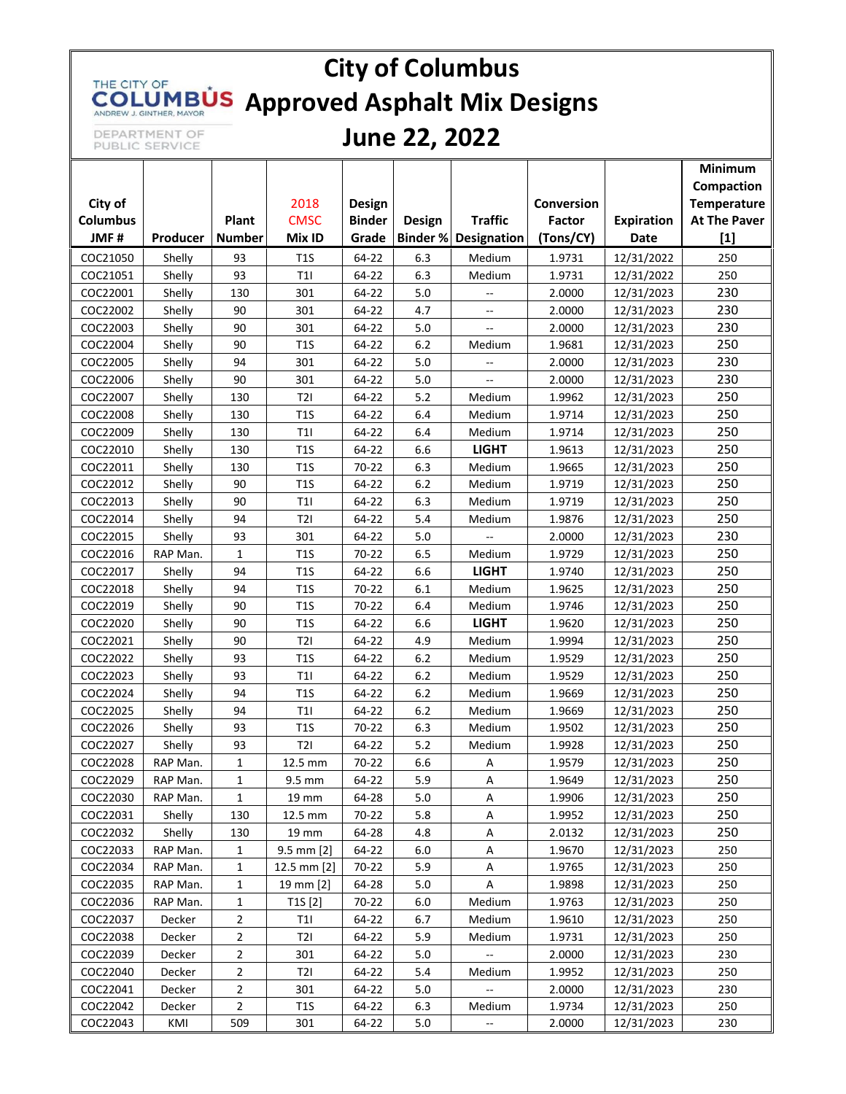# **City of Columbus** THE CITY OF **COLUMBUS** Approved Asphalt Mix Designs

DEPARTMENT OF<br>PUBLIC SERVICE

### **June 22, 2022**

|                         |          |                        |                       |                        |        |                             |                     |                           | Minimum                      |
|-------------------------|----------|------------------------|-----------------------|------------------------|--------|-----------------------------|---------------------|---------------------------|------------------------------|
|                         |          |                        |                       |                        |        |                             | <b>Conversion</b>   |                           | Compaction                   |
| City of                 |          |                        | 2018                  | Design                 |        | <b>Traffic</b>              |                     |                           | Temperature                  |
| <b>Columbus</b><br>JMF# | Producer | Plant<br><b>Number</b> | <b>CMSC</b><br>Mix ID | <b>Binder</b><br>Grade | Design | <b>Binder % Designation</b> | Factor<br>(Tons/CY) | <b>Expiration</b><br>Date | <b>At The Paver</b><br>$[1]$ |
|                         |          |                        |                       |                        |        |                             |                     |                           |                              |
| COC21050                | Shelly   | 93                     | T <sub>1</sub> S      | 64-22                  | 6.3    | Medium                      | 1.9731              | 12/31/2022                | 250                          |
| COC21051                | Shelly   | 93                     | T1                    | 64-22                  | 6.3    | Medium                      | 1.9731              | 12/31/2022                | 250                          |
| COC22001                | Shelly   | 130                    | 301                   | 64-22                  | 5.0    |                             | 2.0000              | 12/31/2023                | 230                          |
| COC22002                | Shelly   | 90                     | 301                   | 64-22                  | 4.7    | $\overline{\phantom{a}}$    | 2.0000              | 12/31/2023                | 230                          |
| COC22003                | Shelly   | 90                     | 301                   | 64-22                  | 5.0    | Щ,                          | 2.0000              | 12/31/2023                | 230                          |
| COC22004                | Shelly   | 90                     | T1S                   | 64-22                  | 6.2    | Medium                      | 1.9681              | 12/31/2023                | 250                          |
| COC22005                | Shelly   | 94                     | 301                   | 64-22                  | 5.0    | $\overline{a}$              | 2.0000              | 12/31/2023                | 230                          |
| COC22006                | Shelly   | 90                     | 301                   | 64-22                  | 5.0    | --                          | 2.0000              | 12/31/2023                | 230                          |
| COC22007                | Shelly   | 130                    | T2I                   | 64-22                  | 5.2    | Medium                      | 1.9962              | 12/31/2023                | 250                          |
| COC22008                | Shelly   | 130                    | T1S                   | 64-22                  | 6.4    | Medium                      | 1.9714              | 12/31/2023                | 250                          |
| COC22009                | Shelly   | 130                    | T11                   | 64-22                  | 6.4    | Medium                      | 1.9714              | 12/31/2023                | 250                          |
| COC22010                | Shelly   | 130                    | T1S                   | 64-22                  | 6.6    | <b>LIGHT</b>                | 1.9613              | 12/31/2023                | 250                          |
| COC22011                | Shelly   | 130                    | T1S                   | 70-22                  | 6.3    | Medium                      | 1.9665              | 12/31/2023                | 250                          |
| COC22012                | Shelly   | 90                     | T1S                   | 64-22                  | 6.2    | Medium                      | 1.9719              | 12/31/2023                | 250                          |
| COC22013                | Shelly   | 90                     | T11                   | 64-22                  | 6.3    | Medium                      | 1.9719              | 12/31/2023                | 250                          |
| COC22014                | Shelly   | 94                     | T2I                   | 64-22                  | 5.4    | Medium                      | 1.9876              | 12/31/2023                | 250                          |
| COC22015                | Shelly   | 93                     | 301                   | 64-22                  | 5.0    |                             | 2.0000              | 12/31/2023                | 230                          |
| COC22016                | RAP Man. | $\mathbf{1}$           | T1S                   | 70-22                  | 6.5    | Medium                      | 1.9729              | 12/31/2023                | 250                          |
| COC22017                | Shelly   | 94                     | T1S                   | 64-22                  | 6.6    | <b>LIGHT</b>                | 1.9740              | 12/31/2023                | 250                          |
| COC22018                | Shelly   | 94                     | T1S                   | 70-22                  | 6.1    | Medium                      | 1.9625              | 12/31/2023                | 250                          |
| COC22019                | Shelly   | 90                     | T1S                   | 70-22                  | 6.4    | Medium                      | 1.9746              | 12/31/2023                | 250                          |
| COC22020                | Shelly   | 90                     | T1S                   | 64-22                  | 6.6    | <b>LIGHT</b>                | 1.9620              | 12/31/2023                | 250                          |
| COC22021                | Shelly   | 90                     | T2I                   | 64-22                  | 4.9    | Medium                      | 1.9994              | 12/31/2023                | 250                          |
| COC22022                | Shelly   | 93                     | T1S                   | 64-22                  | 6.2    | Medium                      | 1.9529              | 12/31/2023                | 250                          |
| COC22023                | Shelly   | 93                     | T1                    | 64-22                  | 6.2    | Medium                      | 1.9529              | 12/31/2023                | 250                          |
| COC22024                | Shelly   | 94                     | T1S                   | 64-22                  | 6.2    | Medium                      | 1.9669              | 12/31/2023                | 250                          |
| COC22025                | Shelly   | 94                     | T1                    | 64-22                  | 6.2    | Medium                      | 1.9669              | 12/31/2023                | 250                          |
| COC22026                | Shelly   | 93                     | T1S                   | 70-22                  | 6.3    | Medium                      | 1.9502              | 12/31/2023                | 250                          |
| COC22027                | Shelly   | 93                     | T2I                   | 64-22                  | 5.2    | Medium                      | 1.9928              | 12/31/2023                | 250                          |
| COC22028                | RAP Man. | 1                      | 12.5 mm               | 70-22                  | 6.6    | А                           | 1.9579              | 12/31/2023                | 250                          |
| COC22029                | RAP Man. | $\mathbf{1}$           | $9.5\;\mathrm{mm}$    | 64-22                  | 5.9    | A                           | 1.9649              | 12/31/2023                | 250                          |
| COC22030                | RAP Man. | $\mathbf{1}$           | 19 mm                 | 64-28                  | 5.0    | Α                           | 1.9906              | 12/31/2023                | 250                          |
| COC22031                | Shelly   | 130                    | 12.5 mm               | 70-22                  | 5.8    | Α                           | 1.9952              | 12/31/2023                | 250                          |
| COC22032                | Shelly   | 130                    | 19 mm                 | 64-28                  | 4.8    | Α                           | 2.0132              | 12/31/2023                | 250                          |
| COC22033                | RAP Man. | $\mathbf{1}$           | $9.5$ mm $[2]$        | 64-22                  | 6.0    | Α                           | 1.9670              | 12/31/2023                | 250                          |
| COC22034                | RAP Man. | 1                      | 12.5 mm [2]           | 70-22                  | 5.9    | Α                           | 1.9765              | 12/31/2023                | 250                          |
| COC22035                | RAP Man. | 1                      | 19 mm [2]             | 64-28                  | 5.0    | А                           | 1.9898              | 12/31/2023                | 250                          |
| COC22036                | RAP Man. | $\mathbf{1}$           | T1S[2]                | 70-22                  | 6.0    | Medium                      | 1.9763              | 12/31/2023                | 250                          |
| COC22037                | Decker   | $\overline{2}$         | T1I                   | 64-22                  | 6.7    | Medium                      | 1.9610              | 12/31/2023                | 250                          |
| COC22038                | Decker   | $\overline{2}$         | T2I                   | 64-22                  | 5.9    | Medium                      | 1.9731              | 12/31/2023                | 250                          |
| COC22039                | Decker   | $\overline{2}$         | 301                   | 64-22                  | 5.0    | --                          | 2.0000              | 12/31/2023                | 230                          |
| COC22040                | Decker   | $\overline{2}$         | T2I                   | 64-22                  | 5.4    | Medium                      | 1.9952              | 12/31/2023                | 250                          |
| COC22041                | Decker   | $\overline{2}$         | 301                   | 64-22                  | 5.0    | $\overline{\phantom{a}}$    | 2.0000              | 12/31/2023                | 230                          |
| COC22042                | Decker   | $\overline{2}$         | T1S                   | 64-22                  | 6.3    | Medium                      | 1.9734              | 12/31/2023                | 250                          |
| COC22043                | KMI      | 509                    | 301                   | 64-22                  | 5.0    |                             | 2.0000              | 12/31/2023                | 230                          |